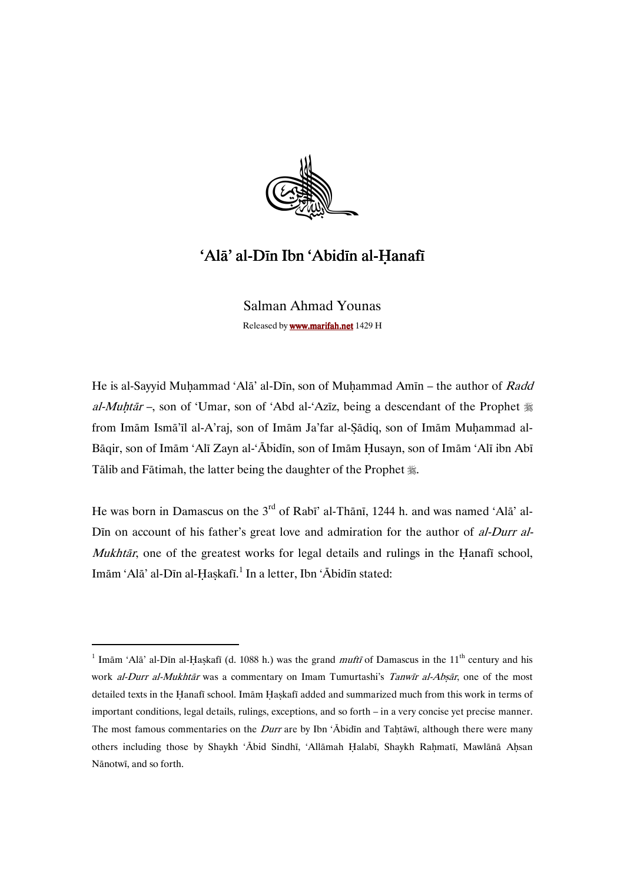

# 'Alā' al-Dīn Ibn 'Abidīn al-Ḥanafī

Salman Ahmad Younas Released by www.marifah.net 1429 H

He is al-Sayyid Muhammad 'Alā' al-Dīn, son of Muhammad Amīn – the author of Radd al-Muhtar –, son of 'Umar, son of 'Abd al-'Azīz, being a descendant of the Prophet  $\frac{4}{36}$ from Imām Ismā'īl al-A'raj, son of Imām Ja'far al-Şādiq, son of Imām Muhammad al-Bāqir, son of Imām 'Alī Zayn al-'Ābidīn, son of Imām Husayn, son of Imām 'Alī ibn Abī Tālib and Fātimah, the latter being the daughter of the Prophet ...

He was born in Damascus on the  $3<sup>rd</sup>$  of Rabī' al-Thānī, 1244 h. and was named 'Alā' al-Din on account of his father's great love and admiration for the author of al-Durr al-*Mukhtār*, one of the greatest works for legal details and rulings in the Hanafi school, Imām 'Alā' al-Dīn al-Ḥaṣkafī.<sup>1</sup> In a letter, Ibn 'Ābidīn stated:

<sup>&</sup>lt;sup>1</sup> Imām 'Alā' al-Dīn al-Ḥaṣkafī (d. 1088 h.) was the grand *muftī* of Damascus in the 11<sup>th</sup> century and his work al-Durr al-Mukhtār was a commentary on Imam Tumurtashi's Tanwīr al-Absār, one of the most detailed texts in the Hanafī school. Imām Haskafī added and summarized much from this work in terms of important conditions, legal details, rulings, exceptions, and so forth – in a very concise yet precise manner. The most famous commentaries on the *Durr* are by Ibn ' $\overline{\text{Abidin}}$  and Tahtāwī, although there were many others including those by Shaykh 'Ābid Sindhī, 'Allāmah Halabī, Shaykh Rahmatī, Mawlānā Ahsan Nānotwī, and so forth.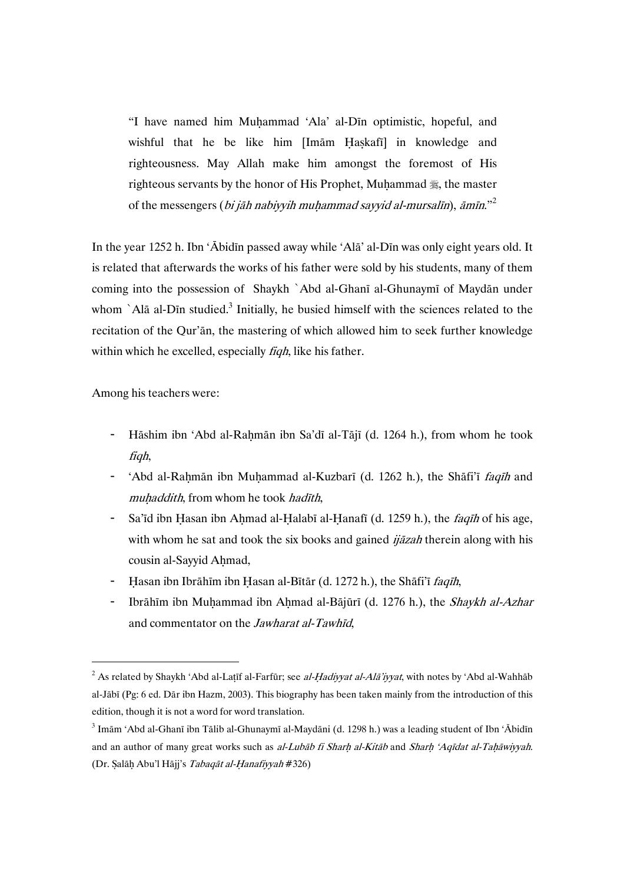"I have named him Muhammad 'Ala' al-Dīn optimistic, hopeful, and wishful that he be like him [Imām Haskafī] in knowledge and righteousness. May Allah make him amongst the foremost of His righteous servants by the honor of His Prophet, Muḥammad , the master of the messengers (bi jāh nabiyyih muhammad sayyid al-mursalīn), āmīn."<sup>2</sup>

In the year 1252 h. Ibn 'Ābidīn passed away while 'Alā' al-Dīn was only eight years old. It is related that afterwards the works of his father were sold by his students, many of them coming into the possession of Shaykh `Abd al-Ghanī al-Ghunaymī of Maydān under whom `Alā al-Dīn studied. $3$  Initially, he busied himself with the sciences related to the recitation of the Qur'an, the mastering of which allowed him to seek further knowledge within which he excelled, especially *figh*, like his father.

Among his teachers were:

- Hāshim ibn 'Abd al-Rahmān ibn Sa'dī al-Tājī (d. 1264 h.), from whom he took fiqh,
- 'Abd al-Rahmān ibn Muhammad al-Kuzbarī (d. 1262 h.), the Shāfi'ī *faqīh* and muhaddith, from whom he took hadīth,
- Sa'īd ibn Hasan ibn Ahmad al-Halabī al-Hanafī (d. 1259 h.), the *faqīh* of his age, with whom he sat and took the six books and gained  $ij\bar{a}z$ ah therein along with his cousin al-Sayyid Ahmad,
- Hasan ibn Ibrāhīm ibn Hasan al-Bītār (d. 1272 h.), the Shāfi'ī faqīh,
- Ibrāhīm ibn Muhammad ibn Ahmad al-Bājūrī (d. 1276 h.), the Shaykh al-Azhar and commentator on the *Jawharat al-Tawhid*,

 $^2$  As related by Shaykh 'Abd al-Laṭīf al-Farfūr; see *al-Ḥadiyyat al-Alā'iyyat*, with notes by 'Abd al-Wahhāb al-Jābī (Pg: 6 ed. Dār ibn Hazm, 2003). This biography has been taken mainly from the introduction of this edition, though it is not a word for word translation.

 $^3$  Imām 'Abd al-Ghanī ibn Tālib al-Ghunaymī al-Maydāni (d. 1298 h.) was a leading student of Ibn 'Ābidīn and an author of many great works such as al-Lubāb fi Sharh al-Kitāb and Sharh 'Aqīdat al-Taḥāwiyyah. (Dr. Salāh Abu'l Hājj's Tabaqāt al-Hanafiyyah #326)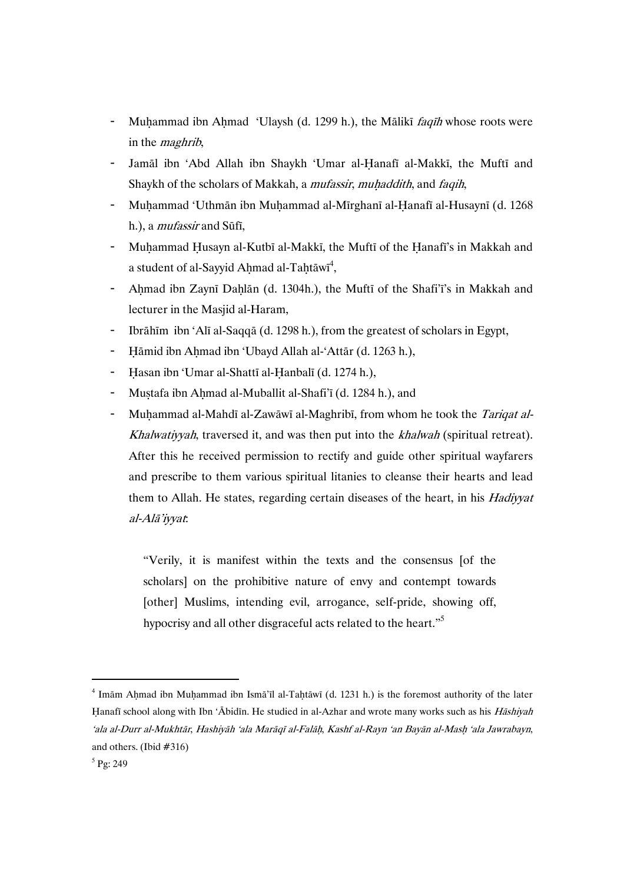- Muhammad ibn Ahmad 'Ulaysh (d. 1299 h.), the Mālikī faqīh whose roots were in the *maghrib*,
- Jamāl ibn 'Abd Allah ibn Shaykh 'Umar al-Hanafī al-Makkī, the Muftī and Shaykh of the scholars of Makkah, a *mufassir*, *muhaddith*, and *faqih*,
- Muhammad 'Uthmān ibn Muhammad al-Mīrghanī al-Hanafī al-Husaynī (d. 1268) h.), a *mufassir* and Sūfī,
- Muhammad Husayn al-Kutbī al-Makkī, the Muftī of the Hanafī's in Makkah and a student of al-Sayyid Aḥmad al-Taḥtāwī $^4,$
- Ahmad ibn Zaynī Dahlān (d. 1304h.), the Muftī of the Shafi'i's in Makkah and lecturer in the Masjid al-Haram,
- Ibrāhīm ibn 'Alī al-Saqqā (d. 1298 h.), from the greatest of scholars in Egypt,
- Hāmid ibn Ahmad ibn 'Ubayd Allah al-'Attār (d. 1263 h.),
- Hasan ibn 'Umar al-Shattī al-Ḥanbalī (d. 1274 h.),
- Mustafa ibn Ahmad al-Muballit al-Shafi'ī (d. 1284 h.), and
- Muhammad al-Mahdī al-Zawāwī al-Maghribī, from whom he took the Tariqat al-Khalwatiyyah, traversed it, and was then put into the khalwah (spiritual retreat). After this he received permission to rectify and guide other spiritual wayfarers and prescribe to them various spiritual litanies to cleanse their hearts and lead them to Allah. He states, regarding certain diseases of the heart, in his *Hadiyyat* al-Alā'iyyat:

"Verily, it is manifest within the texts and the consensus [of the scholars] on the prohibitive nature of envy and contempt towards [other] Muslims, intending evil, arrogance, self-pride, showing off, hypocrisy and all other disgraceful acts related to the heart."<sup>5</sup>

 $4$  Imām Ahmad ibn Muhammad ibn Ismā'īl al-Taḥtāwī (d. 1231 h.) is the foremost authority of the later Hanafī school along with Ibn 'Ābidīn. He studied in al-Azhar and wrote many works such as his *Hāshiyah* 'ala al-Durr al-Mukhtār, Hashiyāh 'ala Marāqī al-Falāh, Kashf al-Rayn 'an Bayān al-Mash 'ala Jawrabayn, and others. (Ibid  $#316$ )

 $^5$  Pg: 249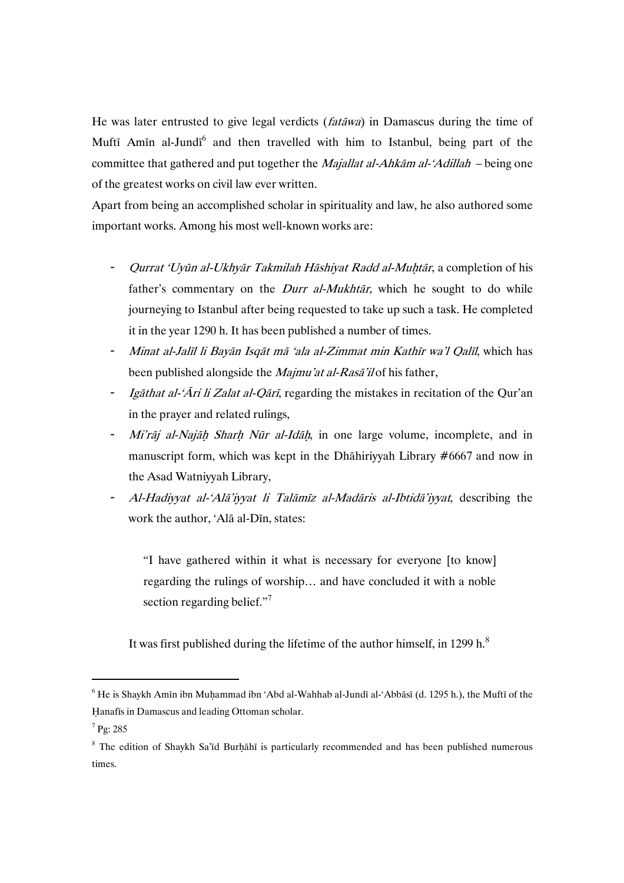He was later entrusted to give legal verdicts (fatāwa) in Damascus during the time of Muftī Amīn al-Jundī<sup>6</sup> and then travelled with him to Istanbul, being part of the committee that gathered and put together the *Majallat al-Ahkām al-'Adillah* – being one of the greatest works on civil law ever written.

Apart from being an accomplished scholar in spirituality and law, he also authored some important works. Among his most well-known works are:

- Qurrat 'Uyūn al-Ukhyār Takmilah Hāshiyat Radd al-Muḥtār, a completion of his father's commentary on the *Durr al-Mukhtār*, which he sought to do while journeying to Istanbul after being requested to take up such a task. He completed it in the year 1290 h. It has been published a number of times.
- Minat al-Jalīl li Bayān Isqāt mā 'ala al-Zimmat min Kathīr wa'l Qalīl, which has been published alongside the Majmu'at al-Rasā'ilof his father,
- Igāthat al-'Āri li Zalat al-Qārī, regarding the mistakes in recitation of the Qur'an in the prayer and related rulings,
- Mi'rāj al-Najāh Sharh Nūr al-Idāh, in one large volume, incomplete, and in manuscript form, which was kept in the Dhāhiriyyah Library  $#6667$  and now in the Asad Watniyyah Library,
- Al-Hadiyyat al-'Alā'iyyat li Talāmīz al-Madāris al-Ibtidā'iyyat, describing the work the author, 'Alā al-Dīn, states:

"I have gathered within it what is necessary for everyone [to know] regarding the rulings of worship... and have concluded it with a noble section regarding belief."<sup>7</sup>

It was first published during the lifetime of the author himself, in 1299 h.<sup>8</sup>

 $^6$  He is Shaykh Amīn ibn Muḥammad ibn 'Abd al-Wahhab al-Jundī al-'Abbāsī (d. 1295 h.), the Muftī of the Hanafīs in Damascus and leading Ottoman scholar.

<sup>7</sup> Pg:285

 $8$  The edition of Shaykh Sa'īd Burḥāhī is particularly recommended and has been published numerous times.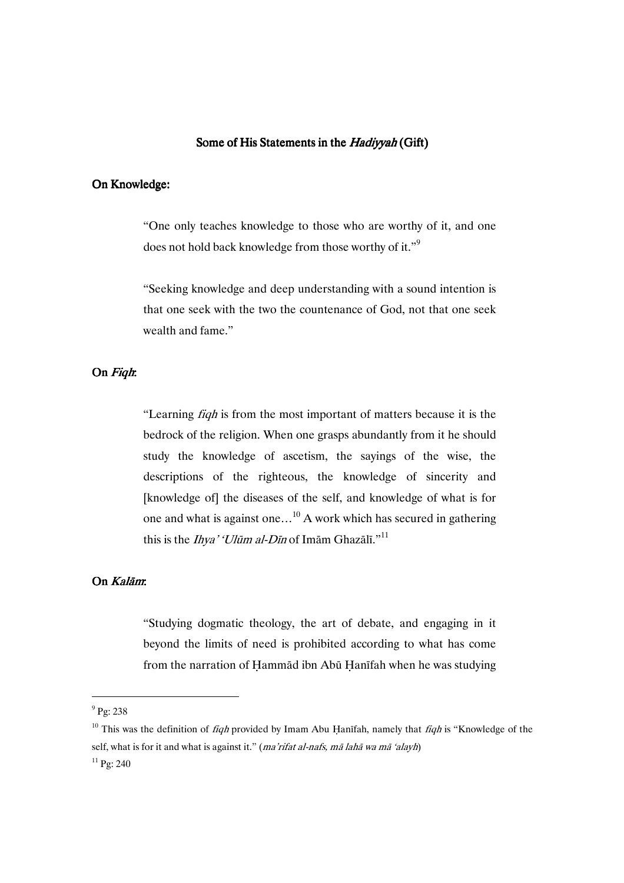### Some of His Statements in the Hadiyyah (Gift)

## On Knowledge:

"One only teaches knowledge to those who are worthy of it, and one does not hold back knowledge from those worthy of it."<sup>9</sup>

"Seeking knowledge and deep understanding with a sound intention is that one seek with the two the countenance of God, not that one seek wealth and fame"

## On Fight.

"Learning *figh* is from the most important of matters because it is the bedrock of the religion. When one grasps abundantly from it he should study the knowledge of ascetism, the sayings of the wise, the descriptions of the righteous, the knowledge of sincerity and [knowledge of] the diseases of the self, and knowledge of what is for one and what is against one...<sup>10</sup> A work which has secured in gathering this is the *Ihya' 'Ulūm al-Dīn* of Imām Ghazālī."<sup>11</sup>

# On  $K$ alām

"Studying dogmatic theology, the art of debate, and engaging in it beyond the limits of need is prohibited according to what has come from the narration of Hammad ibn Abu Hanifah when he was studying

 $^{9}$  Pg: 238

<sup>&</sup>lt;sup>10</sup> This was the definition of *figh* provided by Imam Abu Hanifah, namely that *figh* is "Knowledge of the self, what is for it and what is against it." (ma'rifat al-nafs, mā lahā wa mā 'alayh)

 $11$  Pg: 240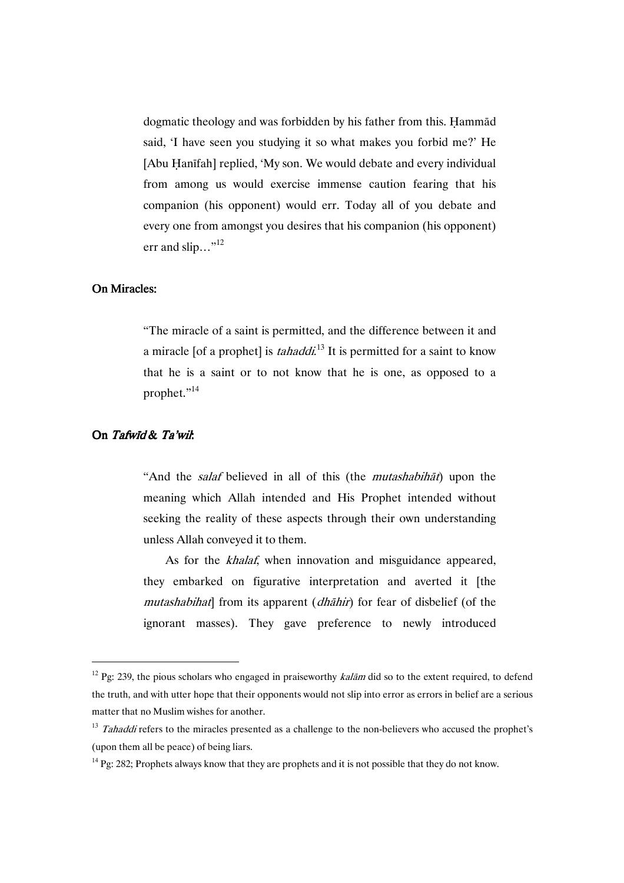dogmatic theology and was forbidden by his father from this. Hammad said, 'I have seen you studying it so what makes you forbid me?' He [Abu Hanīfah] replied, 'My son. We would debate and every individual from among us would exercise immense caution fearing that his companion (his opponent) would err. Today all of you debate and every one from amongst you desires that his companion (his opponent) err and slip..." $^{12}$ 

### **On Miracles:**

"The miracle of a saint is permitted, and the difference between it and a miracle [of a prophet] is *tahaddi*.<sup>13</sup> It is permitted for a saint to know that he is a saint or to not know that he is one, as opposed to a prophet."<sup>14</sup>

## On Tafwīd & Ta'wil:

 $\overline{a}$ 

"And the salaf believed in all of this (the mutashabihāt) upon the meaning which Allah intended and His Prophet intended without seeking the reality of these aspects through their own understanding unless Allah conveyed it to them.

As for the *khalaf*, when innovation and misguidance appeared, they embarked on figurative interpretation and averted it [the mutashabihat] from its apparent (*dhāhir*) for fear of disbelief (of the ignorant masses). They gave preference to newly introduced

<sup>&</sup>lt;sup>12</sup> Pg: 239, the pious scholars who engaged in praiseworthy *kalām* did so to the extent required, to defend the truth, and with utter hope that their opponents would not slip into error as errors in belief are a serious matter that no Muslim wishes for another.

 $13$  Tahaddi refers to the miracles presented as a challenge to the non-believers who accused the prophet's (upon them all be peace) of being liars.

<sup>&</sup>lt;sup>14</sup> Pg: 282; Prophets always know that they are prophets and it is not possible that they do not know.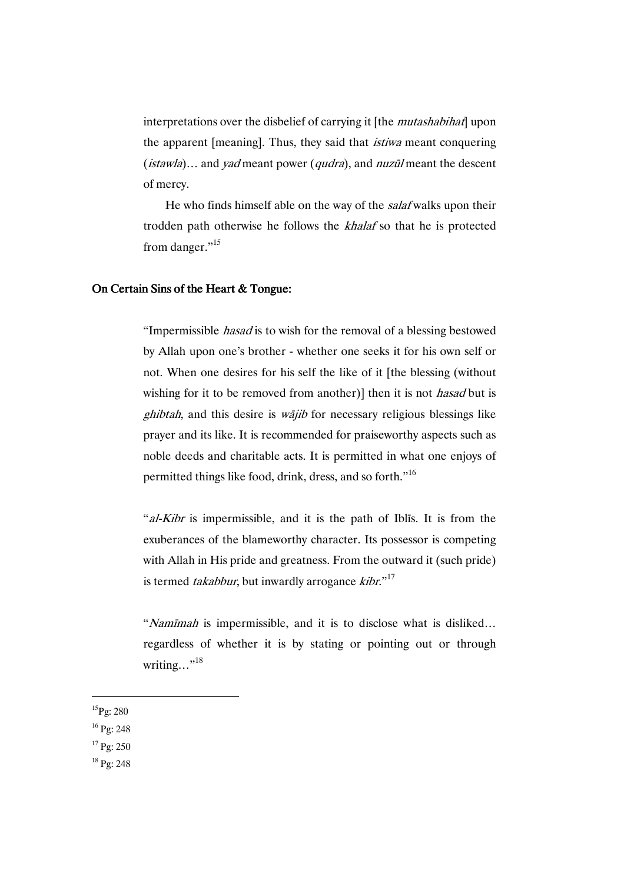interpretations over the disbelief of carrying it [the *mutashabihat*] upon the apparent [meaning]. Thus, they said that *istiwa* meant conquering (istawla)... and yad meant power (qudra), and nuzūl meant the descent of mercy.

He who finds himself able on the way of the salaf walks upon their trodden path otherwise he follows the khalaf so that he is protected from danger."<sup>15</sup>

#### On Certain Sins of the Heart  $&$  Tongue:

"Impermissible *hasad* is to wish for the removal of a blessing bestowed by Allah upon one's brother - whether one seeks it for his own self or not. When one desires for his self the like of it [the blessing (without wishing for it to be removed from another)] then it is not *hasad* but is  $ghibtah$ , and this desire is  $wajib$  for necessary religious blessings like prayer and its like. It is recommended for praiseworthy aspects such as noble deeds and charitable acts. It is permitted in what one enjoys of permitted things like food, drink, dress, and so forth."<sup>16</sup>

"al-Kibr is impermissible, and it is the path of Iblis. It is from the exuberances of the blameworthy character. Its possessor is competing with Allah in His pride and greatness. From the outward it (such pride) is termed takabbur, but inwardly arrogance  $ki\overline{b}r.^{17}$ 

"Namīmah is impermissible, and it is to disclose what is disliked... regardless of whether it is by stating or pointing out or through writing..."<sup>18</sup>

 $^{15}$ Pg: 280

- $16$  Pg: 248
- $17$  Pg: 250
- <sup>18</sup> Pg: 248